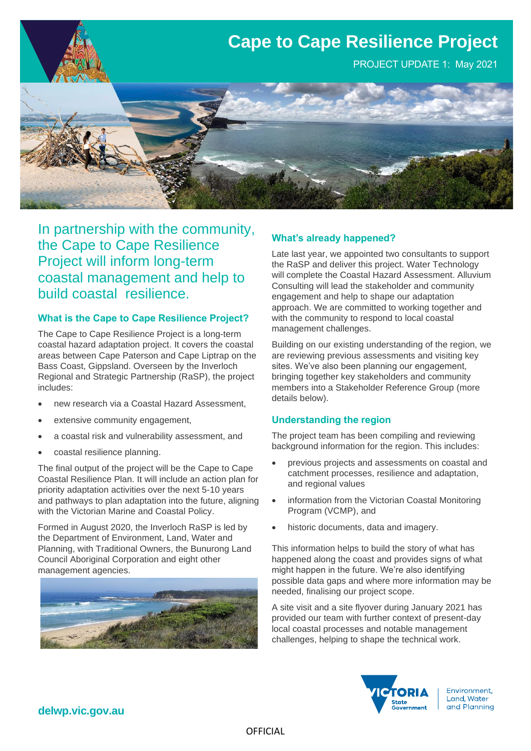

In partnership with the community, the Cape to Cape Resilience Project will inform long-term coastal management and help to build coastal resilience.

## **What is the Cape to Cape Resilience Project?**

The Cape to Cape Resilience Project is a long-term coastal hazard adaptation project. It covers the coastal areas between Cape Paterson and Cape Liptrap on the Bass Coast, Gippsland. Overseen by the Inverloch Regional and Strategic Partnership (RaSP), the project includes:

- new research via a Coastal Hazard Assessment,
- extensive community engagement,
- a coastal risk and vulnerability assessment, and
- coastal resilience planning.

The final output of the project will be the Cape to Cape Coastal Resilience Plan. It will include an action plan for priority adaptation activities over the next 5-10 years and pathways to plan adaptation into the future, aligning with the Victorian Marine and Coastal Policy.

Formed in August 2020, the Inverloch RaSP is led by the Department of Environment, Land, Water and Planning, with Traditional Owners, the Bunurong Land Council Aboriginal Corporation and eight other management agencies.



## **What's already happened?**

Late last year, we appointed two consultants to support the RaSP and deliver this project. Water Technology will complete the Coastal Hazard Assessment. Alluvium Consulting will lead the stakeholder and community engagement and help to shape our adaptation approach. We are committed to working together and with the community to respond to local coastal management challenges.

Building on our existing understanding of the region, we are reviewing previous assessments and visiting key sites. We've also been planning our engagement, bringing together key stakeholders and community members into a Stakeholder Reference Group (more details below).

## **Understanding the region**

The project team has been compiling and reviewing background information for the region. This includes:

- previous projects and assessments on coastal and catchment processes, resilience and adaptation, and regional values
- information from the Victorian Coastal Monitoring Program (VCMP), and
- historic documents, data and imagery.

This information helps to build the story of what has happened along the coast and provides signs of what might happen in the future. We're also identifying possible data gaps and where more information may be needed, finalising our project scope.

A site visit and a site flyover during January 2021 has provided our team with further context of present-day local coastal processes and notable management challenges, helping to shape the technical work.



Environment, Land, Water and Planning

**delwp.vic.gov.au**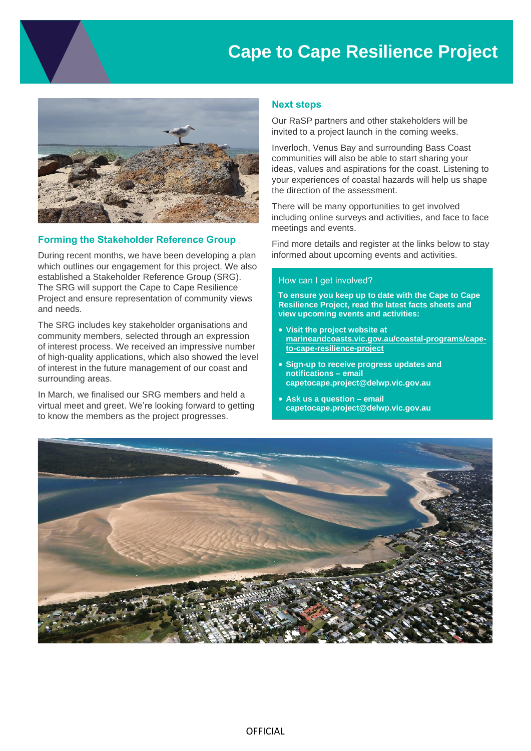# **Cape to Cape Resilience Project**



## **Forming the Stakeholder Reference Group**

During recent months, we have been developing a plan which outlines our engagement for this project. We also established a Stakeholder Reference Group (SRG). The SRG will support the Cape to Cape Resilience Project and ensure representation of community views and needs.

The SRG includes key stakeholder organisations and community members, selected through an expression of interest process. We received an impressive number of high-quality applications, which also showed the level of interest in the future management of our coast and surrounding areas.

In March, we finalised our SRG members and held a virtual meet and greet. We're looking forward to getting to know the members as the project progresses.

### **Next steps**

Our RaSP partners and other stakeholders will be invited to a project launch in the coming weeks.

Inverloch, Venus Bay and surrounding Bass Coast communities will also be able to start sharing your ideas, values and aspirations for the coast. Listening to your experiences of coastal hazards will help us shape the direction of the assessment.

There will be many opportunities to get involved including online surveys and activities, and face to face meetings and events.

Find more details and register at the links below to stay informed about upcoming events and activities.

#### How can I get involved?

**To ensure you keep up to date with the Cape to Cape Resilience Project, read the latest facts sheets and view upcoming events and activities:**

- **Visit the project website at [marineandcoasts.vic.gov.au/coastal-programs/cape](http://www.marineandcoasts.vic.gov.au/coastal-programs/cape-to-cape-resilience-project)[to-cape-resilience-project](http://www.marineandcoasts.vic.gov.au/coastal-programs/cape-to-cape-resilience-project)**
- **Sign-up to receive progress updates and notifications – email capetocape.project@delwp.vic.gov.au**
- **Ask us a question – email capetocape.project@delwp.vic.gov.au**